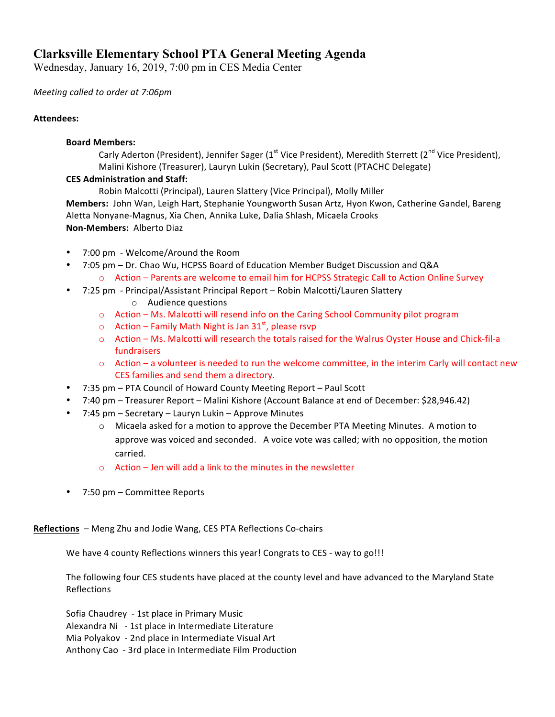# **Clarksville Elementary School PTA General Meeting Agenda**

Wednesday, January 16, 2019, 7:00 pm in CES Media Center

## *Meeting called to order at 7:06pm*

## **Attendees:**

#### **Board Members:**

Carly Aderton (President), Jennifer Sager ( $1<sup>st</sup>$  Vice President), Meredith Sterrett ( $2<sup>nd</sup>$  Vice President), Malini Kishore (Treasurer), Lauryn Lukin (Secretary), Paul Scott (PTACHC Delegate)

## **CES Administration and Staff:**

Robin Malcotti (Principal), Lauren Slattery (Vice Principal), Molly Miller Members: John Wan, Leigh Hart, Stephanie Youngworth Susan Artz, Hyon Kwon, Catherine Gandel, Bareng Aletta Nonyane-Magnus, Xia Chen, Annika Luke, Dalia Shlash, Micaela Crooks **Non-Members:** Alberto Diaz

- 7:00 pm Welcome/Around the Room
- 7:05 pm Dr. Chao Wu, HCPSS Board of Education Member Budget Discussion and Q&A  $\circ$  Action – Parents are welcome to email him for HCPSS Strategic Call to Action Online Survey
- 7:25 pm Principal/Assistant Principal Report Robin Malcotti/Lauren Slattery
	- o Audience questions
	- $\circ$  Action Ms. Malcotti will resend info on the Caring School Community pilot program
	- $\circ$  Action Family Math Night is Jan 31<sup>st</sup>, please rsvp
	- o Action Ms. Malcotti will research the totals raised for the Walrus Oyster House and Chick-fil-a fundraisers
	- $\circ$  Action a volunteer is needed to run the welcome committee, in the interim Carly will contact new CES families and send them a directory.
- 7:35 pm PTA Council of Howard County Meeting Report Paul Scott
- 7:40 pm Treasurer Report Malini Kishore (Account Balance at end of December: \$28,946.42)
- 7:45 pm Secretary Lauryn Lukin Approve Minutes
	- o Micaela asked for a motion to approve the December PTA Meeting Minutes. A motion to approve was voiced and seconded. A voice vote was called; with no opposition, the motion carried.
	- $\circ$  Action Jen will add a link to the minutes in the newsletter
- 7:50 pm Committee Reports

**Reflections** – Meng Zhu and Jodie Wang, CES PTA Reflections Co-chairs

We have 4 county Reflections winners this year! Congrats to CES - way to go!!!

The following four CES students have placed at the county level and have advanced to the Maryland State Reflections 

Sofia Chaudrey - 1st place in Primary Music Alexandra Ni - 1st place in Intermediate Literature Mia Polyakov - 2nd place in Intermediate Visual Art Anthony Cao - 3rd place in Intermediate Film Production